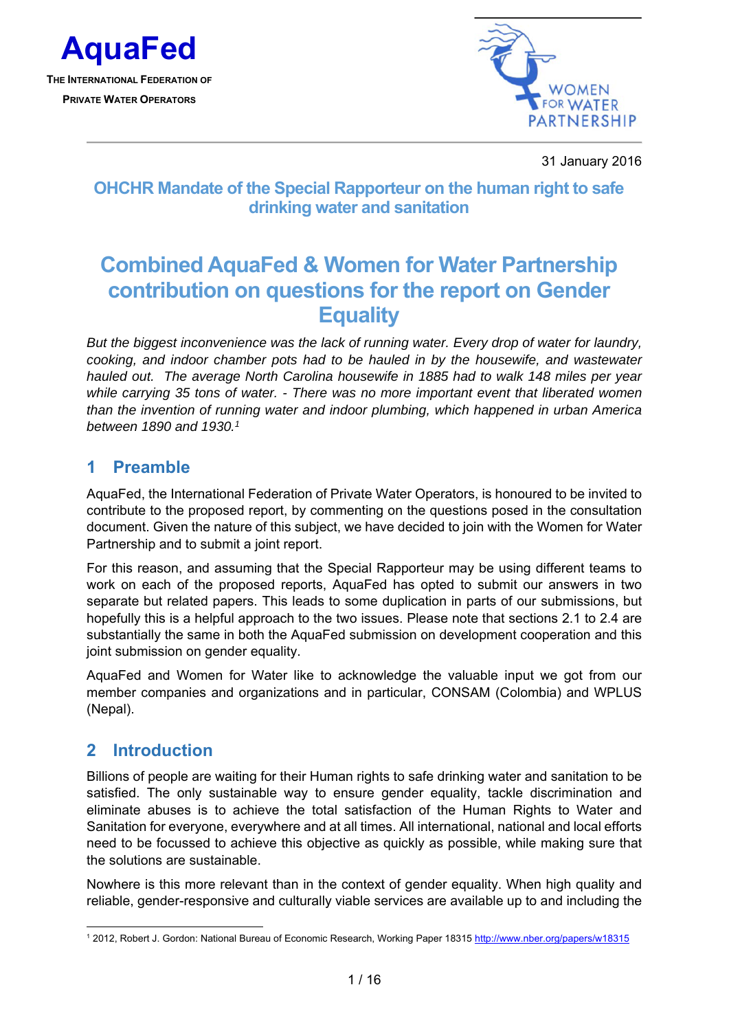

**PRIVATE WATER OPERATORS**



31 January 2016

# **OHCHR Mandate of the Special Rapporteur on the human right to safe drinking water and sanitation**

# **Combined AquaFed & Women for Water Partnership contribution on questions for the report on Gender Equality**

*But the biggest inconvenience was the lack of running water. Every drop of water for laundry, cooking, and indoor chamber pots had to be hauled in by the housewife, and wastewater hauled out. The average North Carolina housewife in 1885 had to walk 148 miles per year while carrying 35 tons of water. - There was no more important event that liberated women than the invention of running water and indoor plumbing, which happened in urban America between 1890 and 1930.1*

### **1 Preamble**

AquaFed, the International Federation of Private Water Operators, is honoured to be invited to contribute to the proposed report, by commenting on the questions posed in the consultation document. Given the nature of this subject, we have decided to join with the Women for Water Partnership and to submit a joint report.

For this reason, and assuming that the Special Rapporteur may be using different teams to work on each of the proposed reports, AquaFed has opted to submit our answers in two separate but related papers. This leads to some duplication in parts of our submissions, but hopefully this is a helpful approach to the two issues. Please note that sections 2.1 to 2.4 are substantially the same in both the AquaFed submission on development cooperation and this joint submission on gender equality.

AquaFed and Women for Water like to acknowledge the valuable input we got from our member companies and organizations and in particular, CONSAM (Colombia) and WPLUS (Nepal).

### **2 Introduction**

Billions of people are waiting for their Human rights to safe drinking water and sanitation to be satisfied. The only sustainable way to ensure gender equality, tackle discrimination and eliminate abuses is to achieve the total satisfaction of the Human Rights to Water and Sanitation for everyone, everywhere and at all times. All international, national and local efforts need to be focussed to achieve this objective as quickly as possible, while making sure that the solutions are sustainable.

Nowhere is this more relevant than in the context of gender equality. When high quality and reliable, gender-responsive and culturally viable services are available up to and including the

<sup>-</sup><sup>1</sup> 2012, Robert J. Gordon: National Bureau of Economic Research, Working Paper 18315 http://www.nber.org/papers/w18315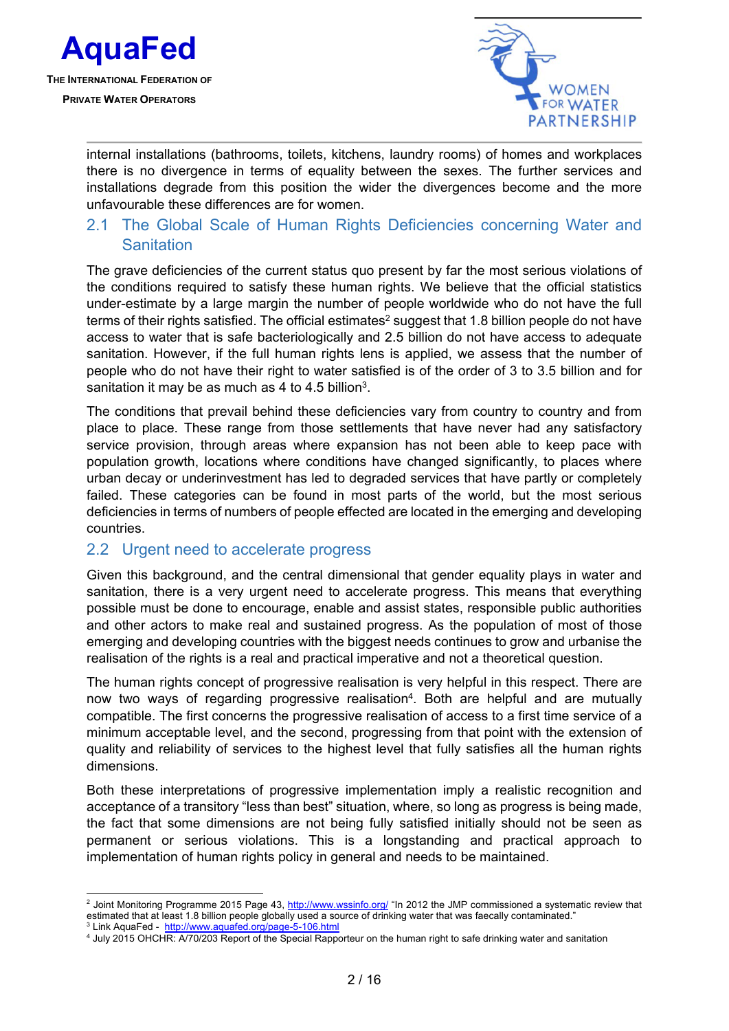

1



internal installations (bathrooms, toilets, kitchens, laundry rooms) of homes and workplaces there is no divergence in terms of equality between the sexes. The further services and installations degrade from this position the wider the divergences become and the more unfavourable these differences are for women.

### 2.1 The Global Scale of Human Rights Deficiencies concerning Water and **Sanitation**

The grave deficiencies of the current status quo present by far the most serious violations of the conditions required to satisfy these human rights. We believe that the official statistics under-estimate by a large margin the number of people worldwide who do not have the full terms of their rights satisfied. The official estimates<sup>2</sup> suggest that 1.8 billion people do not have access to water that is safe bacteriologically and 2.5 billion do not have access to adequate sanitation. However, if the full human rights lens is applied, we assess that the number of people who do not have their right to water satisfied is of the order of 3 to 3.5 billion and for sanitation it may be as much as 4 to 4.5 billion<sup>3</sup>.

The conditions that prevail behind these deficiencies vary from country to country and from place to place. These range from those settlements that have never had any satisfactory service provision, through areas where expansion has not been able to keep pace with population growth, locations where conditions have changed significantly, to places where urban decay or underinvestment has led to degraded services that have partly or completely failed. These categories can be found in most parts of the world, but the most serious deficiencies in terms of numbers of people effected are located in the emerging and developing countries.

#### 2.2 Urgent need to accelerate progress

Given this background, and the central dimensional that gender equality plays in water and sanitation, there is a very urgent need to accelerate progress. This means that everything possible must be done to encourage, enable and assist states, responsible public authorities and other actors to make real and sustained progress. As the population of most of those emerging and developing countries with the biggest needs continues to grow and urbanise the realisation of the rights is a real and practical imperative and not a theoretical question.

The human rights concept of progressive realisation is very helpful in this respect. There are now two ways of regarding progressive realisation<sup>4</sup>. Both are helpful and are mutually compatible. The first concerns the progressive realisation of access to a first time service of a minimum acceptable level, and the second, progressing from that point with the extension of quality and reliability of services to the highest level that fully satisfies all the human rights dimensions.

Both these interpretations of progressive implementation imply a realistic recognition and acceptance of a transitory "less than best" situation, where, so long as progress is being made, the fact that some dimensions are not being fully satisfied initially should not be seen as permanent or serious violations. This is a longstanding and practical approach to implementation of human rights policy in general and needs to be maintained.

<sup>&</sup>lt;sup>2</sup> Joint Monitoring Programme 2015 Page 43, <u>http://www.wssinfo.org/</u> "In 2012 the JMP commissioned a systematic review that estimated that at least 1.8 billion people globally used a source of drinking water that was faecally contaminated." <sup>3</sup> Link AquaFed - http://www.aquafed.org/page-5-106.html

<sup>&</sup>lt;sup>4</sup> July 2015 OHCHR: A/70/203 Report of the Special Rapporteur on the human right to safe drinking water and sanitation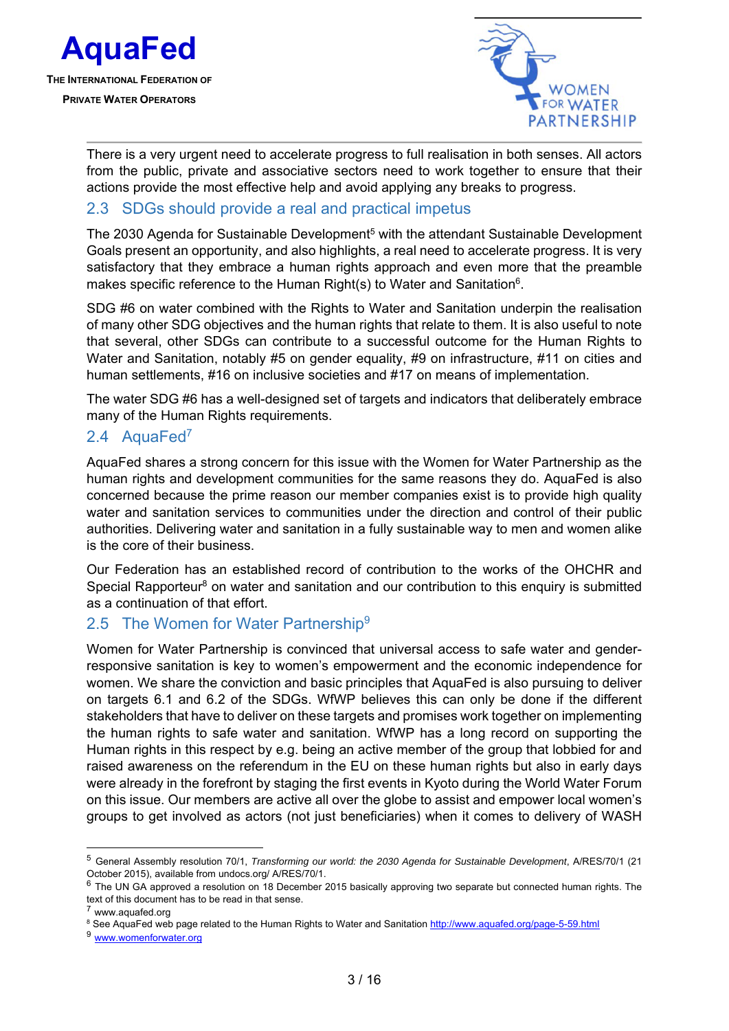



There is a very urgent need to accelerate progress to full realisation in both senses. All actors from the public, private and associative sectors need to work together to ensure that their actions provide the most effective help and avoid applying any breaks to progress.

#### 2.3 SDGs should provide a real and practical impetus

The 2030 Agenda for Sustainable Development<sup>5</sup> with the attendant Sustainable Development Goals present an opportunity, and also highlights, a real need to accelerate progress. It is very satisfactory that they embrace a human rights approach and even more that the preamble makes specific reference to the Human Right(s) to Water and Sanitation<sup>6</sup>.

SDG #6 on water combined with the Rights to Water and Sanitation underpin the realisation of many other SDG objectives and the human rights that relate to them. It is also useful to note that several, other SDGs can contribute to a successful outcome for the Human Rights to Water and Sanitation, notably #5 on gender equality, #9 on infrastructure, #11 on cities and human settlements, #16 on inclusive societies and #17 on means of implementation.

The water SDG #6 has a well-designed set of targets and indicators that deliberately embrace many of the Human Rights requirements.

#### 2.4 AquaFed<sup>7</sup>

AquaFed shares a strong concern for this issue with the Women for Water Partnership as the human rights and development communities for the same reasons they do. AquaFed is also concerned because the prime reason our member companies exist is to provide high quality water and sanitation services to communities under the direction and control of their public authorities. Delivering water and sanitation in a fully sustainable way to men and women alike is the core of their business.

Our Federation has an established record of contribution to the works of the OHCHR and Special Rapporteur<sup>8</sup> on water and sanitation and our contribution to this enquiry is submitted as a continuation of that effort.

#### 2.5 The Women for Water Partnership<sup>9</sup>

Women for Water Partnership is convinced that universal access to safe water and genderresponsive sanitation is key to women's empowerment and the economic independence for women. We share the conviction and basic principles that AquaFed is also pursuing to deliver on targets 6.1 and 6.2 of the SDGs. WfWP believes this can only be done if the different stakeholders that have to deliver on these targets and promises work together on implementing the human rights to safe water and sanitation. WfWP has a long record on supporting the Human rights in this respect by e.g. being an active member of the group that lobbied for and raised awareness on the referendum in the EU on these human rights but also in early days were already in the forefront by staging the first events in Kyoto during the World Water Forum on this issue. Our members are active all over the globe to assist and empower local women's groups to get involved as actors (not just beneficiaries) when it comes to delivery of WASH

1

<sup>5</sup> General Assembly resolution 70/1, *Transforming our world: the 2030 Agenda for Sustainable Development*, A/RES/70/1 (21 October 2015), available from undocs.org/ A/RES/70/1.

 $6$  The UN GA approved a resolution on 18 December 2015 basically approving two separate but connected human rights. The text of this document has to be read in that sense.

<sup>7</sup> www.aquafed.org

<sup>&</sup>lt;sup>8</sup> See AquaFed web page related to the Human Rights to Water and Sanitation <u>http://www.aquafed.org/page-5-59.html</u><br><sup>9</sup> <u>www.womenforwater.org</u>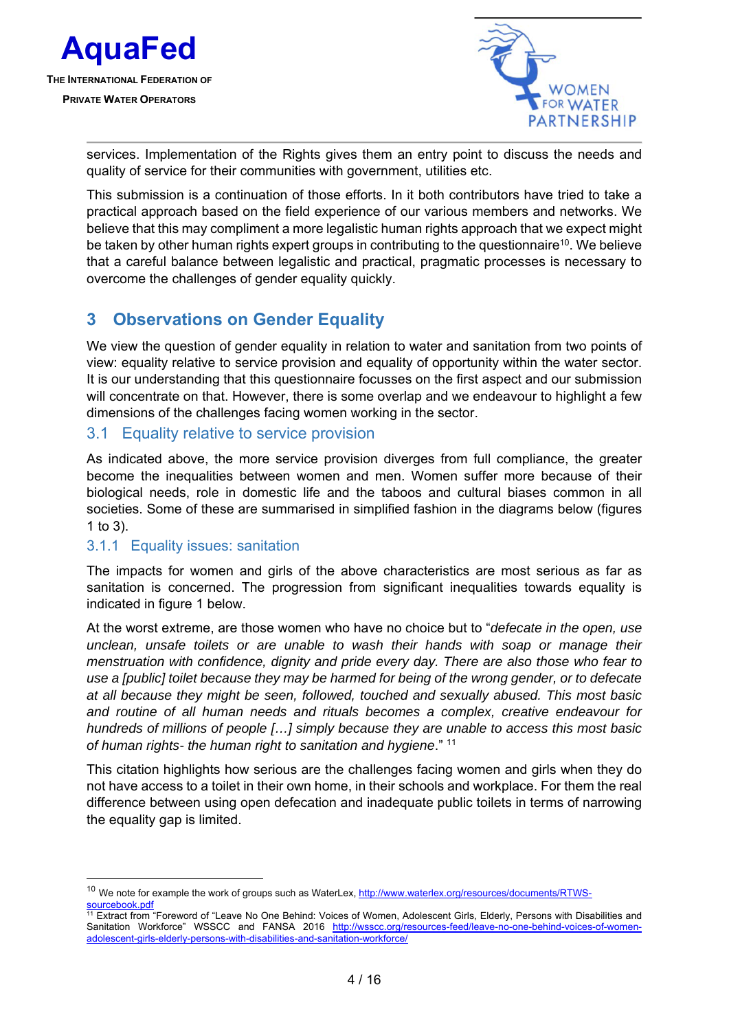



services. Implementation of the Rights gives them an entry point to discuss the needs and quality of service for their communities with government, utilities etc.

This submission is a continuation of those efforts. In it both contributors have tried to take a practical approach based on the field experience of our various members and networks. We believe that this may compliment a more legalistic human rights approach that we expect might be taken by other human rights expert groups in contributing to the questionnaire<sup>10</sup>. We believe that a careful balance between legalistic and practical, pragmatic processes is necessary to overcome the challenges of gender equality quickly.

### **3 Observations on Gender Equality**

We view the question of gender equality in relation to water and sanitation from two points of view: equality relative to service provision and equality of opportunity within the water sector. It is our understanding that this questionnaire focusses on the first aspect and our submission will concentrate on that. However, there is some overlap and we endeavour to highlight a few dimensions of the challenges facing women working in the sector.

#### 3.1 Equality relative to service provision

As indicated above, the more service provision diverges from full compliance, the greater become the inequalities between women and men. Women suffer more because of their biological needs, role in domestic life and the taboos and cultural biases common in all societies. Some of these are summarised in simplified fashion in the diagrams below (figures 1 to 3).

#### 3.1.1 Equality issues: sanitation

 $\overline{a}$ 

The impacts for women and girls of the above characteristics are most serious as far as sanitation is concerned. The progression from significant inequalities towards equality is indicated in figure 1 below.

At the worst extreme, are those women who have no choice but to "*defecate in the open, use unclean, unsafe toilets or are unable to wash their hands with soap or manage their menstruation with confidence, dignity and pride every day. There are also those who fear to use a [public] toilet because they may be harmed for being of the wrong gender, or to defecate at all because they might be seen, followed, touched and sexually abused. This most basic and routine of all human needs and rituals becomes a complex, creative endeavour for hundreds of millions of people […] simply because they are unable to access this most basic of human rights- the human right to sanitation and hygiene*." 11

This citation highlights how serious are the challenges facing women and girls when they do not have access to a toilet in their own home, in their schools and workplace. For them the real difference between using open defecation and inadequate public toilets in terms of narrowing the equality gap is limited.

<sup>&</sup>lt;sup>10</sup> We note for example the work of groups such as WaterLex, http://www.waterlex.org/resources/documents/RTWSsourcebook.pdf

<sup>&</sup>lt;sup>11</sup> Extract from "Foreword of "Leave No One Behind: Voices of Women, Adolescent Girls, Elderly, Persons with Disabilities and Sanitation Workforce" WSSCC and FANSA 2016 http://wsscc.org/resources-feed/leave-no-one-behind-voices-of-womenadolescent-girls-elderly-persons-with-disabilities-and-sanitation-workforce/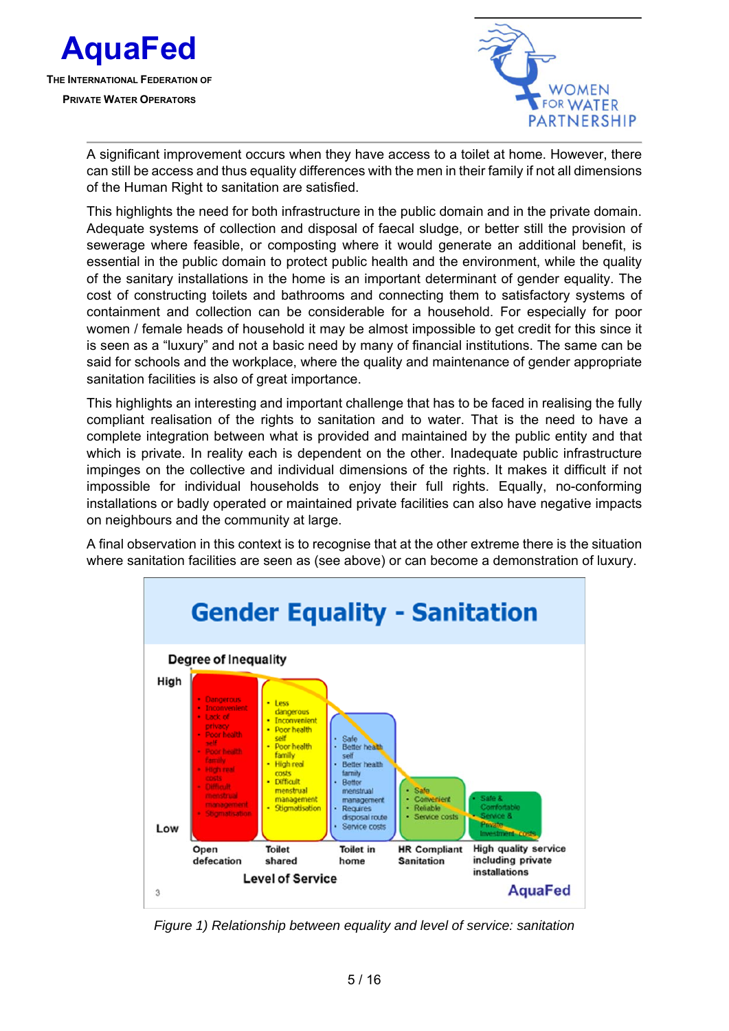



A significant improvement occurs when they have access to a toilet at home. However, there can still be access and thus equality differences with the men in their family if not all dimensions of the Human Right to sanitation are satisfied.

This highlights the need for both infrastructure in the public domain and in the private domain. Adequate systems of collection and disposal of faecal sludge, or better still the provision of sewerage where feasible, or composting where it would generate an additional benefit, is essential in the public domain to protect public health and the environment, while the quality of the sanitary installations in the home is an important determinant of gender equality. The cost of constructing toilets and bathrooms and connecting them to satisfactory systems of containment and collection can be considerable for a household. For especially for poor women / female heads of household it may be almost impossible to get credit for this since it is seen as a "luxury" and not a basic need by many of financial institutions. The same can be said for schools and the workplace, where the quality and maintenance of gender appropriate sanitation facilities is also of great importance.

This highlights an interesting and important challenge that has to be faced in realising the fully compliant realisation of the rights to sanitation and to water. That is the need to have a complete integration between what is provided and maintained by the public entity and that which is private. In reality each is dependent on the other. Inadequate public infrastructure impinges on the collective and individual dimensions of the rights. It makes it difficult if not impossible for individual households to enjoy their full rights. Equally, no-conforming installations or badly operated or maintained private facilities can also have negative impacts on neighbours and the community at large.

A final observation in this context is to recognise that at the other extreme there is the situation where sanitation facilities are seen as (see above) or can become a demonstration of luxury.



*Figure 1) Relationship between equality and level of service: sanitation*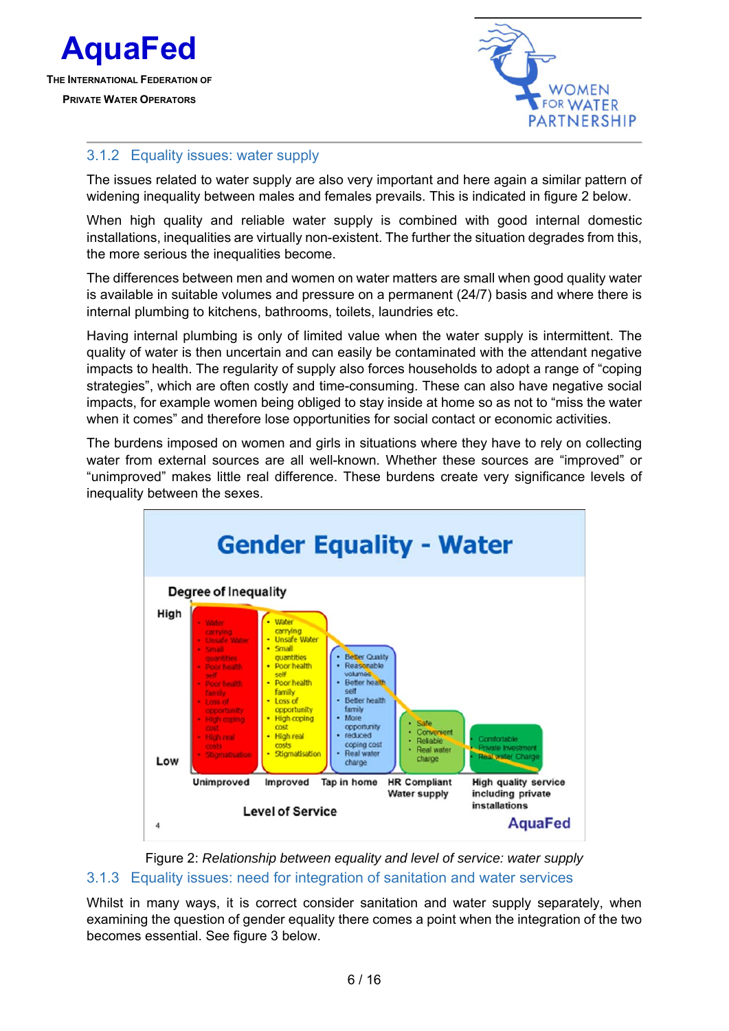



#### 3.1.2 Equality issues: water supply

The issues related to water supply are also very important and here again a similar pattern of widening inequality between males and females prevails. This is indicated in figure 2 below.

When high quality and reliable water supply is combined with good internal domestic installations, inequalities are virtually non-existent. The further the situation degrades from this, the more serious the inequalities become.

The differences between men and women on water matters are small when good quality water is available in suitable volumes and pressure on a permanent (24/7) basis and where there is internal plumbing to kitchens, bathrooms, toilets, laundries etc.

Having internal plumbing is only of limited value when the water supply is intermittent. The quality of water is then uncertain and can easily be contaminated with the attendant negative impacts to health. The regularity of supply also forces households to adopt a range of "coping strategies", which are often costly and time-consuming. These can also have negative social impacts, for example women being obliged to stay inside at home so as not to "miss the water when it comes" and therefore lose opportunities for social contact or economic activities.

The burdens imposed on women and girls in situations where they have to rely on collecting water from external sources are all well-known. Whether these sources are "improved" or "unimproved" makes little real difference. These burdens create very significance levels of inequality between the sexes.



Figure 2: *Relationship between equality and level of service: water supply* 3.1.3 Equality issues: need for integration of sanitation and water services

Whilst in many ways, it is correct consider sanitation and water supply separately, when examining the question of gender equality there comes a point when the integration of the two becomes essential. See figure 3 below.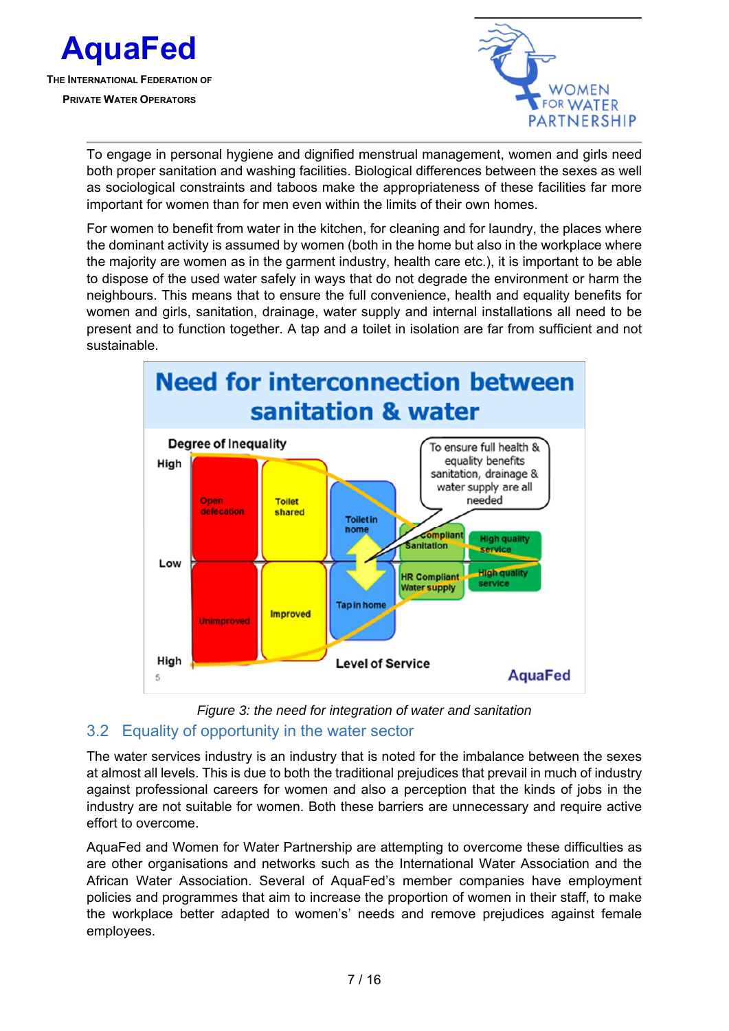



To engage in personal hygiene and dignified menstrual management, women and girls need both proper sanitation and washing facilities. Biological differences between the sexes as well as sociological constraints and taboos make the appropriateness of these facilities far more important for women than for men even within the limits of their own homes.

For women to benefit from water in the kitchen, for cleaning and for laundry, the places where the dominant activity is assumed by women (both in the home but also in the workplace where the majority are women as in the garment industry, health care etc.), it is important to be able to dispose of the used water safely in ways that do not degrade the environment or harm the neighbours. This means that to ensure the full convenience, health and equality benefits for women and girls, sanitation, drainage, water supply and internal installations all need to be present and to function together. A tap and a toilet in isolation are far from sufficient and not sustainable.





#### The water services industry is an industry that is noted for the imbalance between the sexes at almost all levels. This is due to both the traditional prejudices that prevail in much of industry against professional careers for women and also a perception that the kinds of jobs in the industry are not suitable for women. Both these barriers are unnecessary and require active effort to overcome.

AquaFed and Women for Water Partnership are attempting to overcome these difficulties as are other organisations and networks such as the International Water Association and the African Water Association. Several of AquaFed's member companies have employment policies and programmes that aim to increase the proportion of women in their staff, to make the workplace better adapted to women's' needs and remove prejudices against female employees.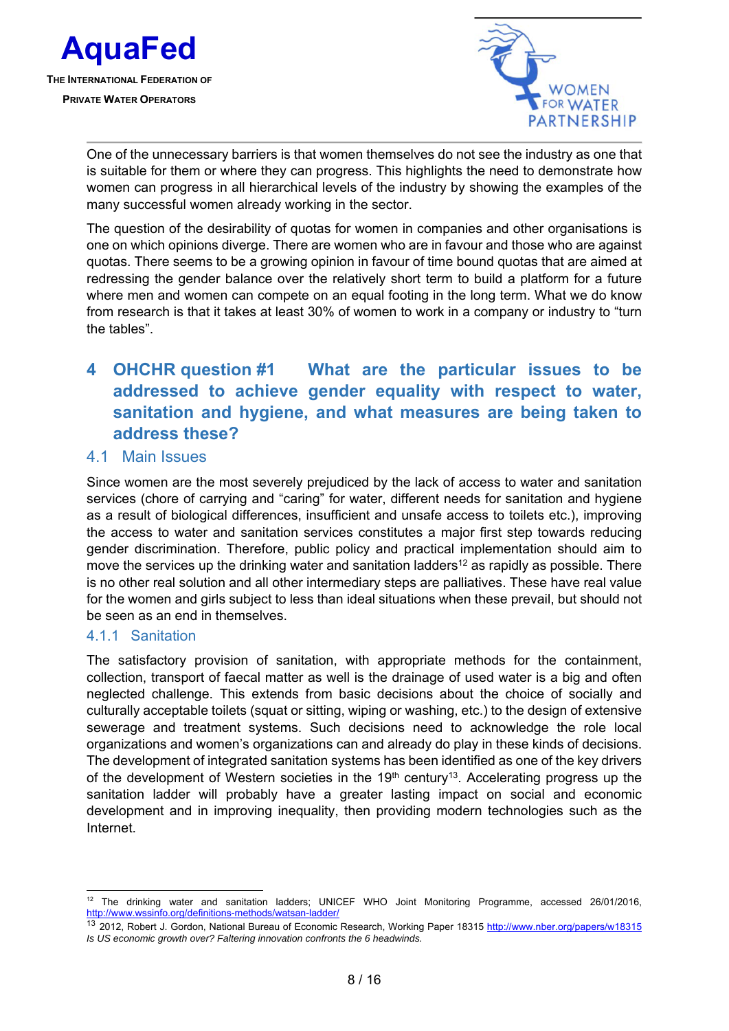



One of the unnecessary barriers is that women themselves do not see the industry as one that is suitable for them or where they can progress. This highlights the need to demonstrate how women can progress in all hierarchical levels of the industry by showing the examples of the many successful women already working in the sector.

The question of the desirability of quotas for women in companies and other organisations is one on which opinions diverge. There are women who are in favour and those who are against quotas. There seems to be a growing opinion in favour of time bound quotas that are aimed at redressing the gender balance over the relatively short term to build a platform for a future where men and women can compete on an equal footing in the long term. What we do know from research is that it takes at least 30% of women to work in a company or industry to "turn the tables".

# **4 OHCHR question #1 What are the particular issues to be addressed to achieve gender equality with respect to water, sanitation and hygiene, and what measures are being taken to address these?**

#### 4.1 Main Issues

Since women are the most severely prejudiced by the lack of access to water and sanitation services (chore of carrying and "caring" for water, different needs for sanitation and hygiene as a result of biological differences, insufficient and unsafe access to toilets etc.), improving the access to water and sanitation services constitutes a major first step towards reducing gender discrimination. Therefore, public policy and practical implementation should aim to move the services up the drinking water and sanitation ladders<sup>12</sup> as rapidly as possible. There is no other real solution and all other intermediary steps are palliatives. These have real value for the women and girls subject to less than ideal situations when these prevail, but should not be seen as an end in themselves.

#### 4.1.1 Sanitation

The satisfactory provision of sanitation, with appropriate methods for the containment, collection, transport of faecal matter as well is the drainage of used water is a big and often neglected challenge. This extends from basic decisions about the choice of socially and culturally acceptable toilets (squat or sitting, wiping or washing, etc.) to the design of extensive sewerage and treatment systems. Such decisions need to acknowledge the role local organizations and women's organizations can and already do play in these kinds of decisions. The development of integrated sanitation systems has been identified as one of the key drivers of the development of Western societies in the  $19<sup>th</sup>$  century<sup>13</sup>. Accelerating progress up the sanitation ladder will probably have a greater lasting impact on social and economic development and in improving inequality, then providing modern technologies such as the Internet.

<sup>1</sup> 12 The drinking water and sanitation ladders; UNICEF WHO Joint Monitoring Programme, accessed 26/01/2016,

http://www.wssinfo.org/definitions-methods/watsan-ladder/<br><sup>13</sup> 2012, Robert J. Gordon, National Bureau of Economic Research, Working Paper 18315 <u>http://www.nber.org/papers/w18315</u> *Is US economic growth over? Faltering innovation confronts the 6 headwinds.*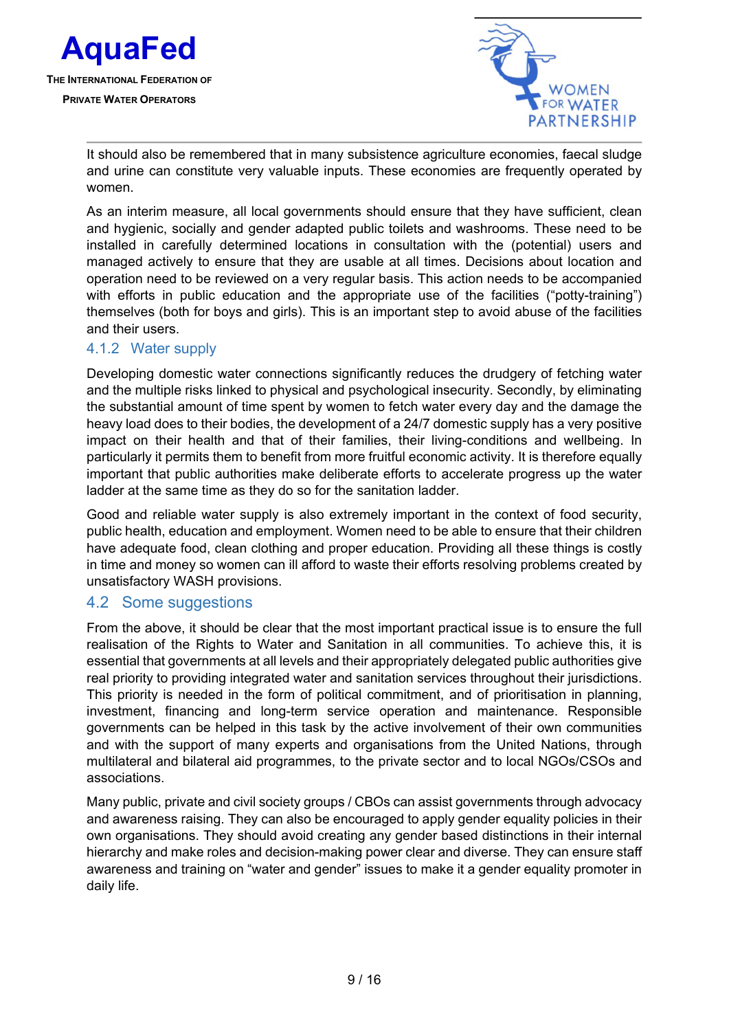



It should also be remembered that in many subsistence agriculture economies, faecal sludge and urine can constitute very valuable inputs. These economies are frequently operated by women.

As an interim measure, all local governments should ensure that they have sufficient, clean and hygienic, socially and gender adapted public toilets and washrooms. These need to be installed in carefully determined locations in consultation with the (potential) users and managed actively to ensure that they are usable at all times. Decisions about location and operation need to be reviewed on a very regular basis. This action needs to be accompanied with efforts in public education and the appropriate use of the facilities ("potty-training") themselves (both for boys and girls). This is an important step to avoid abuse of the facilities and their users.

#### 4.1.2 Water supply

Developing domestic water connections significantly reduces the drudgery of fetching water and the multiple risks linked to physical and psychological insecurity. Secondly, by eliminating the substantial amount of time spent by women to fetch water every day and the damage the heavy load does to their bodies, the development of a 24/7 domestic supply has a very positive impact on their health and that of their families, their living-conditions and wellbeing. In particularly it permits them to benefit from more fruitful economic activity. It is therefore equally important that public authorities make deliberate efforts to accelerate progress up the water ladder at the same time as they do so for the sanitation ladder.

Good and reliable water supply is also extremely important in the context of food security, public health, education and employment. Women need to be able to ensure that their children have adequate food, clean clothing and proper education. Providing all these things is costly in time and money so women can ill afford to waste their efforts resolving problems created by unsatisfactory WASH provisions.

#### 4.2 Some suggestions

From the above, it should be clear that the most important practical issue is to ensure the full realisation of the Rights to Water and Sanitation in all communities. To achieve this, it is essential that governments at all levels and their appropriately delegated public authorities give real priority to providing integrated water and sanitation services throughout their jurisdictions. This priority is needed in the form of political commitment, and of prioritisation in planning, investment, financing and long-term service operation and maintenance. Responsible governments can be helped in this task by the active involvement of their own communities and with the support of many experts and organisations from the United Nations, through multilateral and bilateral aid programmes, to the private sector and to local NGOs/CSOs and associations.

Many public, private and civil society groups / CBOs can assist governments through advocacy and awareness raising. They can also be encouraged to apply gender equality policies in their own organisations. They should avoid creating any gender based distinctions in their internal hierarchy and make roles and decision-making power clear and diverse. They can ensure staff awareness and training on "water and gender" issues to make it a gender equality promoter in daily life.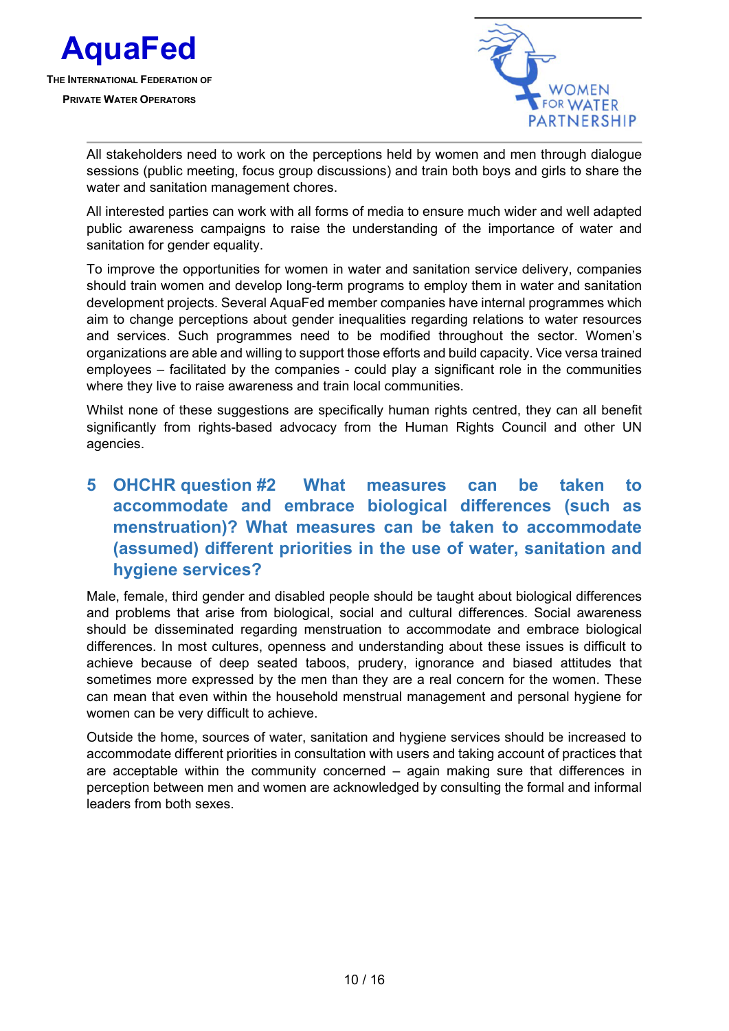



All stakeholders need to work on the perceptions held by women and men through dialogue sessions (public meeting, focus group discussions) and train both boys and girls to share the water and sanitation management chores.

All interested parties can work with all forms of media to ensure much wider and well adapted public awareness campaigns to raise the understanding of the importance of water and sanitation for gender equality.

To improve the opportunities for women in water and sanitation service delivery, companies should train women and develop long-term programs to employ them in water and sanitation development projects. Several AquaFed member companies have internal programmes which aim to change perceptions about gender inequalities regarding relations to water resources and services. Such programmes need to be modified throughout the sector. Women's organizations are able and willing to support those efforts and build capacity. Vice versa trained employees – facilitated by the companies - could play a significant role in the communities where they live to raise awareness and train local communities.

Whilst none of these suggestions are specifically human rights centred, they can all benefit significantly from rights-based advocacy from the Human Rights Council and other UN agencies.

### **5 OHCHR question #2 What measures can be taken to accommodate and embrace biological differences (such as menstruation)? What measures can be taken to accommodate (assumed) different priorities in the use of water, sanitation and hygiene services?**

Male, female, third gender and disabled people should be taught about biological differences and problems that arise from biological, social and cultural differences. Social awareness should be disseminated regarding menstruation to accommodate and embrace biological differences. In most cultures, openness and understanding about these issues is difficult to achieve because of deep seated taboos, prudery, ignorance and biased attitudes that sometimes more expressed by the men than they are a real concern for the women. These can mean that even within the household menstrual management and personal hygiene for women can be very difficult to achieve.

Outside the home, sources of water, sanitation and hygiene services should be increased to accommodate different priorities in consultation with users and taking account of practices that are acceptable within the community concerned – again making sure that differences in perception between men and women are acknowledged by consulting the formal and informal leaders from both sexes.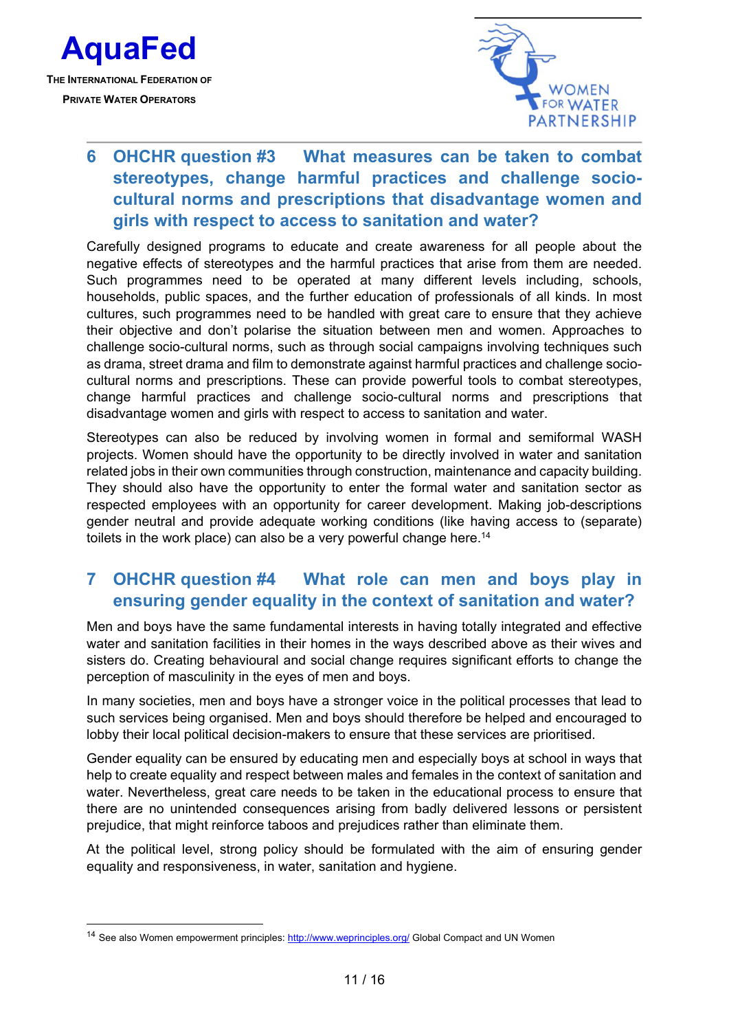

-



# **6 OHCHR question #3 What measures can be taken to combat stereotypes, change harmful practices and challenge sociocultural norms and prescriptions that disadvantage women and girls with respect to access to sanitation and water?**

Carefully designed programs to educate and create awareness for all people about the negative effects of stereotypes and the harmful practices that arise from them are needed. Such programmes need to be operated at many different levels including, schools, households, public spaces, and the further education of professionals of all kinds. In most cultures, such programmes need to be handled with great care to ensure that they achieve their objective and don't polarise the situation between men and women. Approaches to challenge socio-cultural norms, such as through social campaigns involving techniques such as drama, street drama and film to demonstrate against harmful practices and challenge sociocultural norms and prescriptions. These can provide powerful tools to combat stereotypes, change harmful practices and challenge socio-cultural norms and prescriptions that disadvantage women and girls with respect to access to sanitation and water.

Stereotypes can also be reduced by involving women in formal and semiformal WASH projects. Women should have the opportunity to be directly involved in water and sanitation related jobs in their own communities through construction, maintenance and capacity building. They should also have the opportunity to enter the formal water and sanitation sector as respected employees with an opportunity for career development. Making job-descriptions gender neutral and provide adequate working conditions (like having access to (separate) toilets in the work place) can also be a very powerful change here.<sup>14</sup>

### **7 OHCHR question #4 What role can men and boys play in ensuring gender equality in the context of sanitation and water?**

Men and boys have the same fundamental interests in having totally integrated and effective water and sanitation facilities in their homes in the ways described above as their wives and sisters do. Creating behavioural and social change requires significant efforts to change the perception of masculinity in the eyes of men and boys.

In many societies, men and boys have a stronger voice in the political processes that lead to such services being organised. Men and boys should therefore be helped and encouraged to lobby their local political decision-makers to ensure that these services are prioritised.

Gender equality can be ensured by educating men and especially boys at school in ways that help to create equality and respect between males and females in the context of sanitation and water. Nevertheless, great care needs to be taken in the educational process to ensure that there are no unintended consequences arising from badly delivered lessons or persistent prejudice, that might reinforce taboos and prejudices rather than eliminate them.

At the political level, strong policy should be formulated with the aim of ensuring gender equality and responsiveness, in water, sanitation and hygiene.

<sup>&</sup>lt;sup>14</sup> See also Women empowerment principles: http://www.weprinciples.org/ Global Compact and UN Women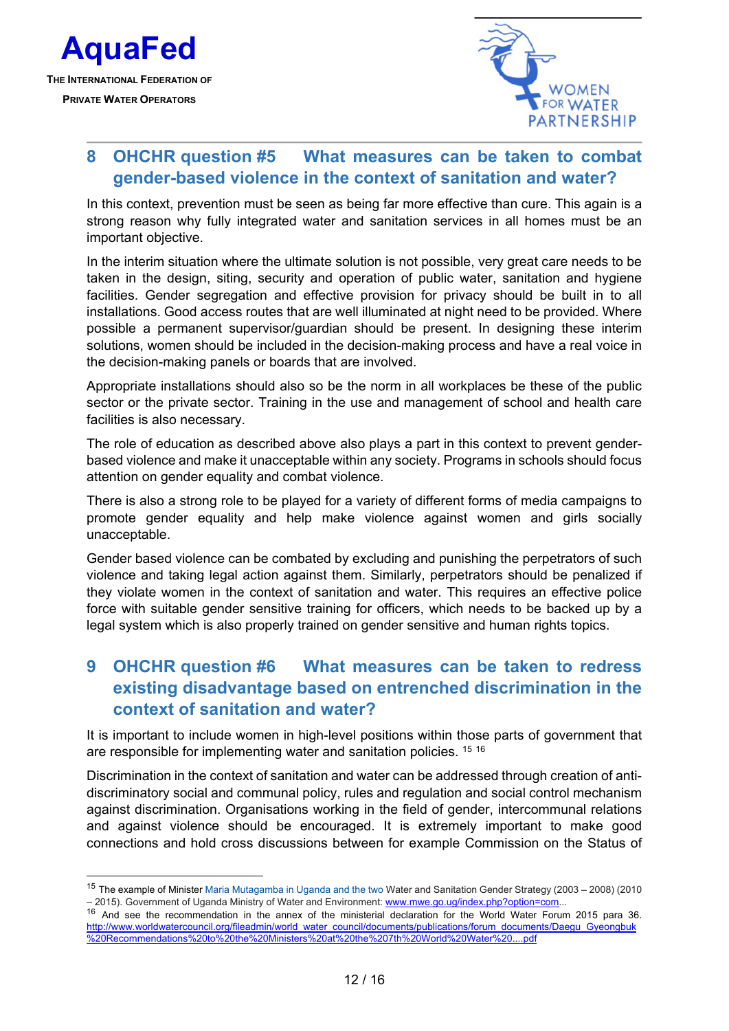

1



### **8 OHCHR question #5 What measures can be taken to combat gender-based violence in the context of sanitation and water?**

In this context, prevention must be seen as being far more effective than cure. This again is a strong reason why fully integrated water and sanitation services in all homes must be an important objective.

In the interim situation where the ultimate solution is not possible, very great care needs to be taken in the design, siting, security and operation of public water, sanitation and hygiene facilities. Gender segregation and effective provision for privacy should be built in to all installations. Good access routes that are well illuminated at night need to be provided. Where possible a permanent supervisor/guardian should be present. In designing these interim solutions, women should be included in the decision-making process and have a real voice in the decision-making panels or boards that are involved.

Appropriate installations should also so be the norm in all workplaces be these of the public sector or the private sector. Training in the use and management of school and health care facilities is also necessary.

The role of education as described above also plays a part in this context to prevent genderbased violence and make it unacceptable within any society. Programs in schools should focus attention on gender equality and combat violence.

There is also a strong role to be played for a variety of different forms of media campaigns to promote gender equality and help make violence against women and girls socially unacceptable.

Gender based violence can be combated by excluding and punishing the perpetrators of such violence and taking legal action against them. Similarly, perpetrators should be penalized if they violate women in the context of sanitation and water. This requires an effective police force with suitable gender sensitive training for officers, which needs to be backed up by a legal system which is also properly trained on gender sensitive and human rights topics.

# **9 OHCHR question #6 What measures can be taken to redress existing disadvantage based on entrenched discrimination in the context of sanitation and water?**

It is important to include women in high-level positions within those parts of government that are responsible for implementing water and sanitation policies. <sup>15 16</sup>

Discrimination in the context of sanitation and water can be addressed through creation of antidiscriminatory social and communal policy, rules and regulation and social control mechanism against discrimination. Organisations working in the field of gender, intercommunal relations and against violence should be encouraged. It is extremely important to make good connections and hold cross discussions between for example Commission on the Status of

<sup>&</sup>lt;sup>15</sup> The example of Minister Maria Mutagamba in Uganda and the two Water and Sanitation Gender Strategy (2003 – 2008) (2010 – 2015). Government of Uganda Ministry of Water and Environment: www.mwe.go.ug/index.php?option=com...

<sup>&</sup>lt;sup>16</sup> And see the recommendation in the annex of the ministerial declaration for the World Water Forum 2015 para 36. http://www.worldwatercouncil.org/fileadmin/world\_water\_council/documents/publications/forum\_documents/Daegu\_Gyeongbuk %20Recommendations%20to%20the%20Ministers%20at%20the%207th%20World%20Water%20....pdf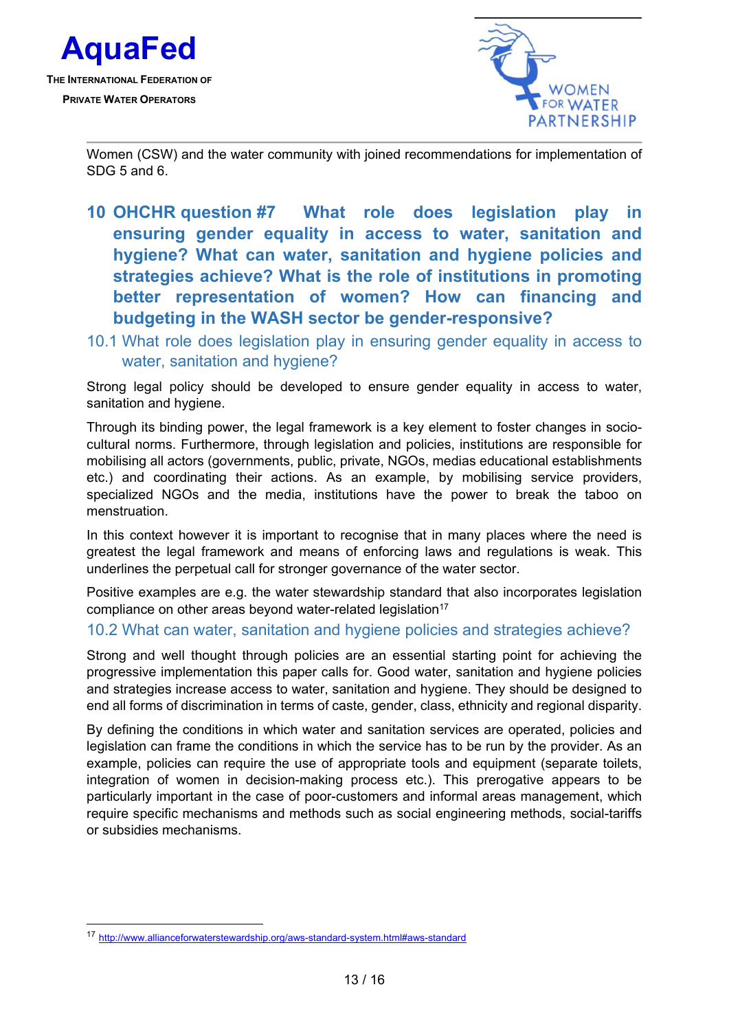



Women (CSW) and the water community with joined recommendations for implementation of  $SDG<sub>5</sub>$  and  $6<sub>6</sub>$ .

- **10 OHCHR question #7 What role does legislation play in ensuring gender equality in access to water, sanitation and hygiene? What can water, sanitation and hygiene policies and strategies achieve? What is the role of institutions in promoting better representation of women? How can financing and budgeting in the WASH sector be gender-responsive?**
- 10.1 What role does legislation play in ensuring gender equality in access to water, sanitation and hygiene?

Strong legal policy should be developed to ensure gender equality in access to water, sanitation and hygiene.

Through its binding power, the legal framework is a key element to foster changes in sociocultural norms. Furthermore, through legislation and policies, institutions are responsible for mobilising all actors (governments, public, private, NGOs, medias educational establishments etc.) and coordinating their actions. As an example, by mobilising service providers, specialized NGOs and the media, institutions have the power to break the taboo on menstruation.

In this context however it is important to recognise that in many places where the need is greatest the legal framework and means of enforcing laws and regulations is weak. This underlines the perpetual call for stronger governance of the water sector.

Positive examples are e.g. the water stewardship standard that also incorporates legislation compliance on other areas beyond water-related legislation<sup>17</sup>

#### 10.2 What can water, sanitation and hygiene policies and strategies achieve?

Strong and well thought through policies are an essential starting point for achieving the progressive implementation this paper calls for. Good water, sanitation and hygiene policies and strategies increase access to water, sanitation and hygiene. They should be designed to end all forms of discrimination in terms of caste, gender, class, ethnicity and regional disparity.

By defining the conditions in which water and sanitation services are operated, policies and legislation can frame the conditions in which the service has to be run by the provider. As an example, policies can require the use of appropriate tools and equipment (separate toilets, integration of women in decision-making process etc.). This prerogative appears to be particularly important in the case of poor-customers and informal areas management, which require specific mechanisms and methods such as social engineering methods, social-tariffs or subsidies mechanisms.

-

<sup>17</sup> http://www.allianceforwaterstewardship.org/aws-standard-system.html#aws-standard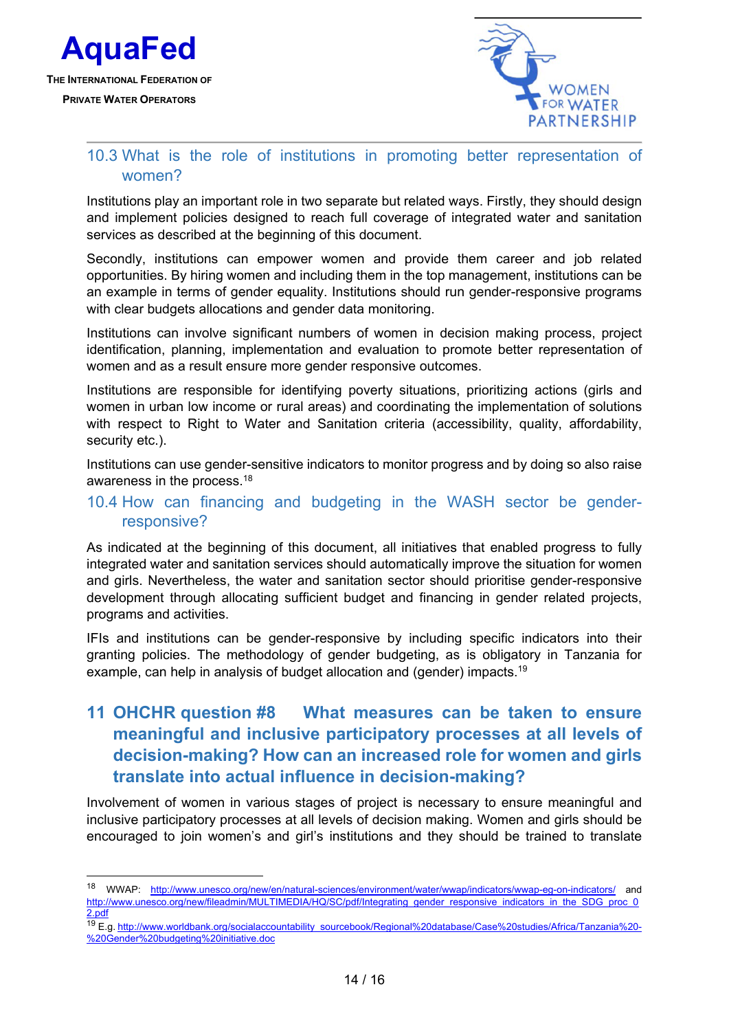

1



### 10.3 What is the role of institutions in promoting better representation of women?

Institutions play an important role in two separate but related ways. Firstly, they should design and implement policies designed to reach full coverage of integrated water and sanitation services as described at the beginning of this document.

Secondly, institutions can empower women and provide them career and job related opportunities. By hiring women and including them in the top management, institutions can be an example in terms of gender equality. Institutions should run gender-responsive programs with clear budgets allocations and gender data monitoring.

Institutions can involve significant numbers of women in decision making process, project identification, planning, implementation and evaluation to promote better representation of women and as a result ensure more gender responsive outcomes.

Institutions are responsible for identifying poverty situations, prioritizing actions (girls and women in urban low income or rural areas) and coordinating the implementation of solutions with respect to Right to Water and Sanitation criteria (accessibility, quality, affordability, security etc.).

Institutions can use gender-sensitive indicators to monitor progress and by doing so also raise awareness in the process.18

#### 10.4 How can financing and budgeting in the WASH sector be genderresponsive?

As indicated at the beginning of this document, all initiatives that enabled progress to fully integrated water and sanitation services should automatically improve the situation for women and girls. Nevertheless, the water and sanitation sector should prioritise gender-responsive development through allocating sufficient budget and financing in gender related projects, programs and activities.

IFIs and institutions can be gender-responsive by including specific indicators into their granting policies. The methodology of gender budgeting, as is obligatory in Tanzania for example, can help in analysis of budget allocation and (gender) impacts.<sup>19</sup>

### **11 OHCHR question #8 What measures can be taken to ensure meaningful and inclusive participatory processes at all levels of decision-making? How can an increased role for women and girls translate into actual influence in decision-making?**

Involvement of women in various stages of project is necessary to ensure meaningful and inclusive participatory processes at all levels of decision making. Women and girls should be encouraged to join women's and girl's institutions and they should be trained to translate

<sup>18</sup> WWAP: http://www.unesco.org/new/en/natural-sciences/environment/water/wwap/indicators/wwap-eg-on-indicators/ and http://www.unesco.org/new/fileadmin/MULTIMEDIA/HQ/SC/pdf/Integrating\_gender\_responsive\_indicators\_in\_the\_SDG\_proc\_0 2.pdf

<sup>19</sup> E.g. http://www.worldbank.org/socialaccountability\_sourcebook/Regional%20database/Case%20studies/Africa/Tanzania%20- %20Gender%20budgeting%20initiative.doc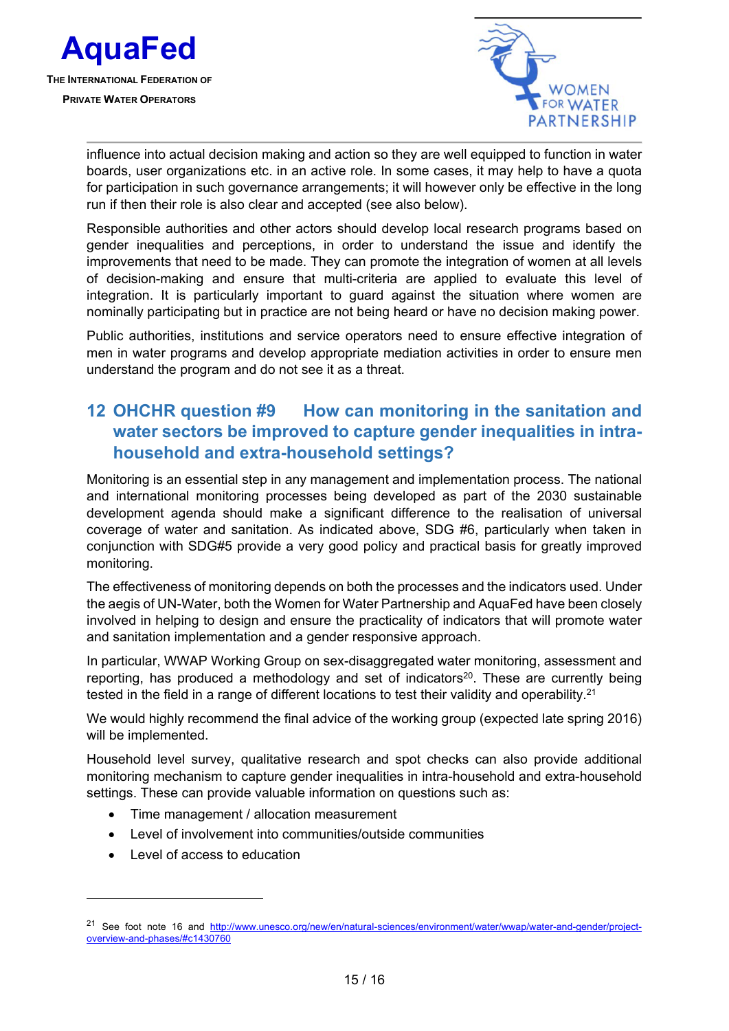



influence into actual decision making and action so they are well equipped to function in water boards, user organizations etc. in an active role. In some cases, it may help to have a quota for participation in such governance arrangements; it will however only be effective in the long run if then their role is also clear and accepted (see also below).

Responsible authorities and other actors should develop local research programs based on gender inequalities and perceptions, in order to understand the issue and identify the improvements that need to be made. They can promote the integration of women at all levels of decision-making and ensure that multi-criteria are applied to evaluate this level of integration. It is particularly important to guard against the situation where women are nominally participating but in practice are not being heard or have no decision making power.

Public authorities, institutions and service operators need to ensure effective integration of men in water programs and develop appropriate mediation activities in order to ensure men understand the program and do not see it as a threat.

# **12 OHCHR question #9 How can monitoring in the sanitation and water sectors be improved to capture gender inequalities in intrahousehold and extra-household settings?**

Monitoring is an essential step in any management and implementation process. The national and international monitoring processes being developed as part of the 2030 sustainable development agenda should make a significant difference to the realisation of universal coverage of water and sanitation. As indicated above, SDG #6, particularly when taken in conjunction with SDG#5 provide a very good policy and practical basis for greatly improved monitoring.

The effectiveness of monitoring depends on both the processes and the indicators used. Under the aegis of UN-Water, both the Women for Water Partnership and AquaFed have been closely involved in helping to design and ensure the practicality of indicators that will promote water and sanitation implementation and a gender responsive approach.

In particular, WWAP Working Group on sex-disaggregated water monitoring, assessment and reporting, has produced a methodology and set of indicators<sup>20</sup>. These are currently being tested in the field in a range of different locations to test their validity and operability.<sup>21</sup>

We would highly recommend the final advice of the working group (expected late spring 2016) will be implemented.

Household level survey, qualitative research and spot checks can also provide additional monitoring mechanism to capture gender inequalities in intra-household and extra-household settings. These can provide valuable information on questions such as:

- Time management / allocation measurement
- Level of involvement into communities/outside communities
- Level of access to education

1

<sup>&</sup>lt;sup>21</sup> See foot note 16 and http://www.unesco.org/new/en/natural-sciences/environment/water/wwap/water-and-gender/projectoverview-and-phases/#c1430760